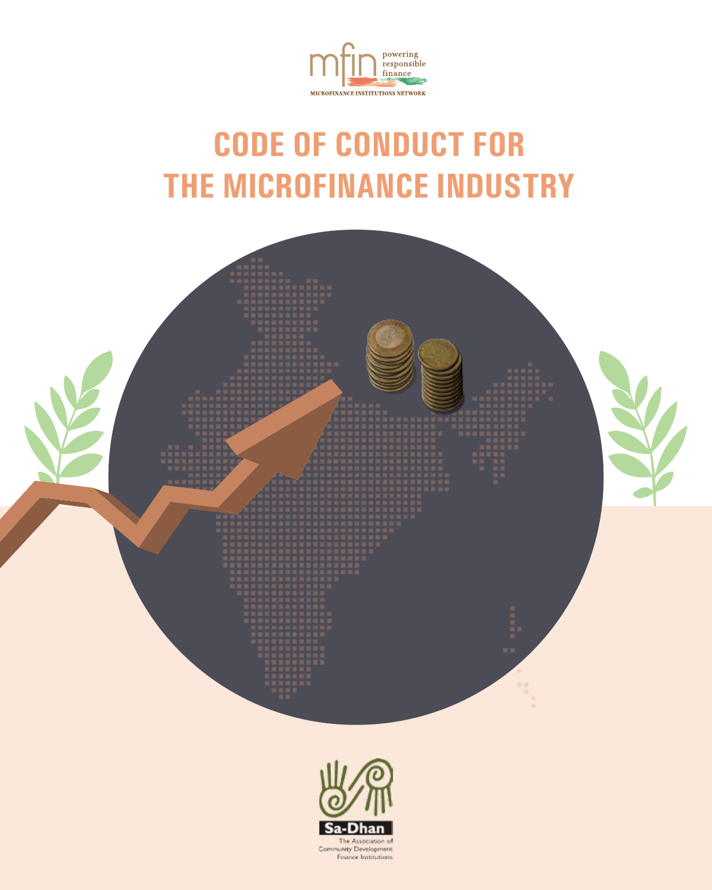

# **CODE OF CONDUCT FOR THE MICROFINANCE INDUSTRY**



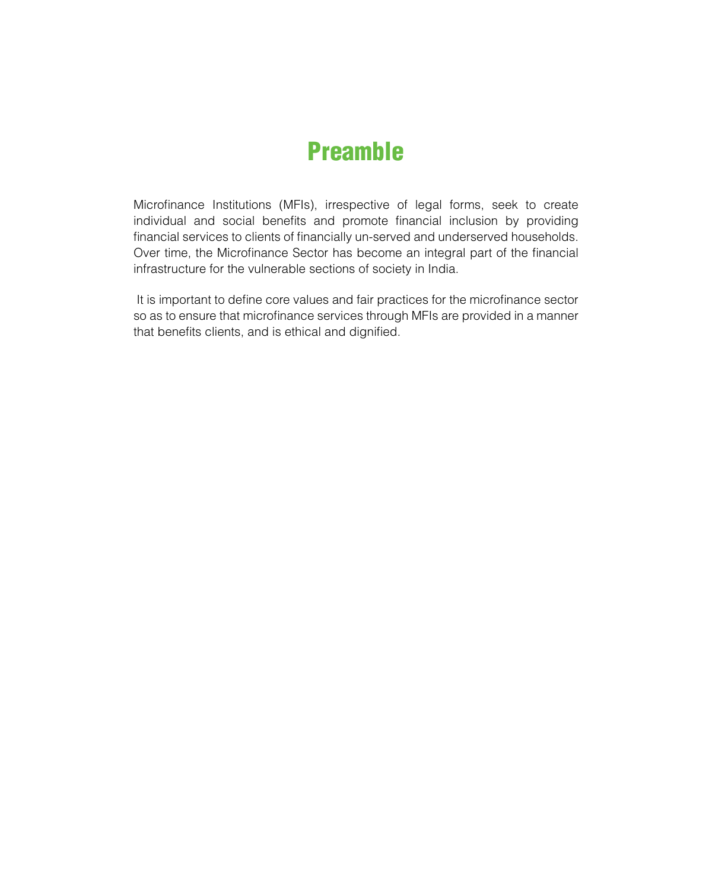### Preamble

Microfinance Institutions (MFIs), irrespective of legal forms, seek to create individual and social benefits and promote financial inclusion by providing financial services to clients of financially un-served and underserved households. Over time, the Microfinance Sector has become an integral part of the financial infrastructure for the vulnerable sections of society in India.

 It is important to define core values and fair practices for the microfinance sector so as to ensure that microfinance services through MFIs are provided in a manner that benefits clients, and is ethical and dignified.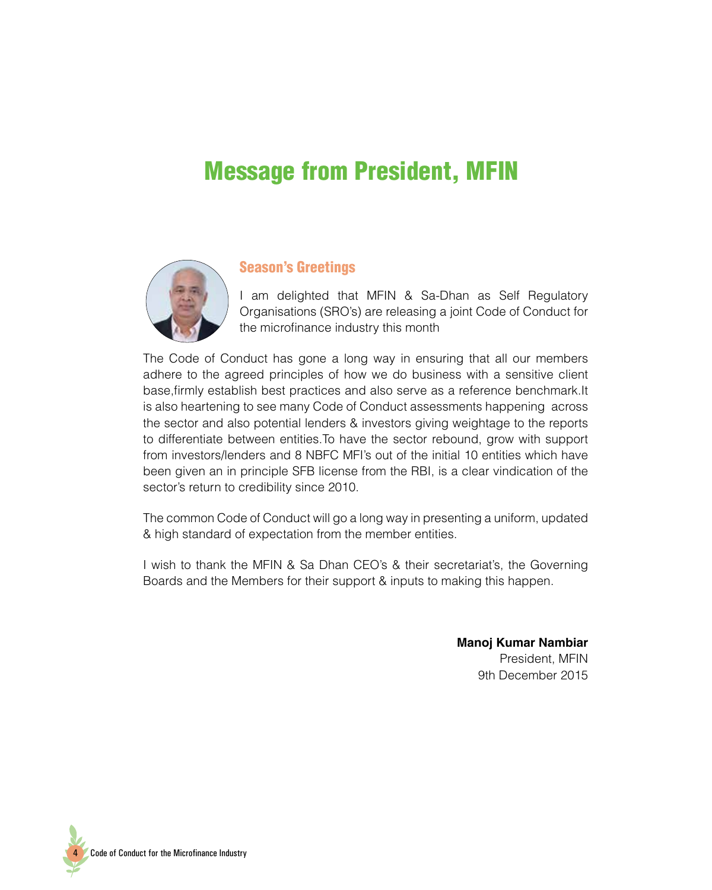### Message from President, MFIN



#### Season's Greetings

I am delighted that MFIN & Sa-Dhan as Self Regulatory Organisations (SRO's) are releasing a joint Code of Conduct for the microfinance industry this month

The Code of Conduct has gone a long way in ensuring that all our members adhere to the agreed principles of how we do business with a sensitive client base,firmly establish best practices and also serve as a reference benchmark.It is also heartening to see many Code of Conduct assessments happening across the sector and also potential lenders & investors giving weightage to the reports to differentiate between entities.To have the sector rebound, grow with support from investors/lenders and 8 NBFC MFI's out of the initial 10 entities which have been given an in principle SFB license from the RBI, is a clear vindication of the sector's return to credibility since 2010.

The common Code of Conduct will go a long way in presenting a uniform, updated & high standard of expectation from the member entities.

I wish to thank the MFIN & Sa Dhan CEO's & their secretariat's, the Governing Boards and the Members for their support & inputs to making this happen.

> **Manoj Kumar Nambiar** President, MFIN 9th December 2015

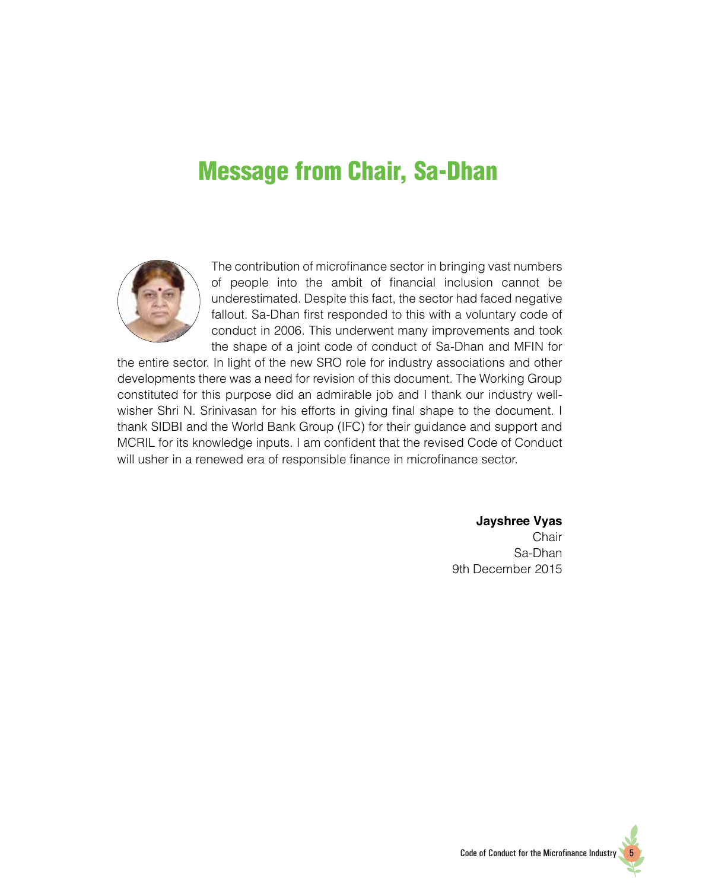### Message from Chair, Sa-Dhan



The contribution of microfinance sector in bringing vast numbers of people into the ambit of financial inclusion cannot be underestimated. Despite this fact, the sector had faced negative fallout. Sa-Dhan first responded to this with a voluntary code of conduct in 2006. This underwent many improvements and took the shape of a joint code of conduct of Sa-Dhan and MFIN for

the entire sector. In light of the new SRO role for industry associations and other developments there was a need for revision of this document. The Working Group constituted for this purpose did an admirable job and I thank our industry wellwisher Shri N. Srinivasan for his efforts in giving final shape to the document. I thank SIDBI and the World Bank Group (IFC) for their guidance and support and MCRIL for its knowledge inputs. I am confident that the revised Code of Conduct will usher in a renewed era of responsible finance in microfinance sector.

#### **Jayshree Vyas**

**Chair** Sa-Dhan 9th December 2015

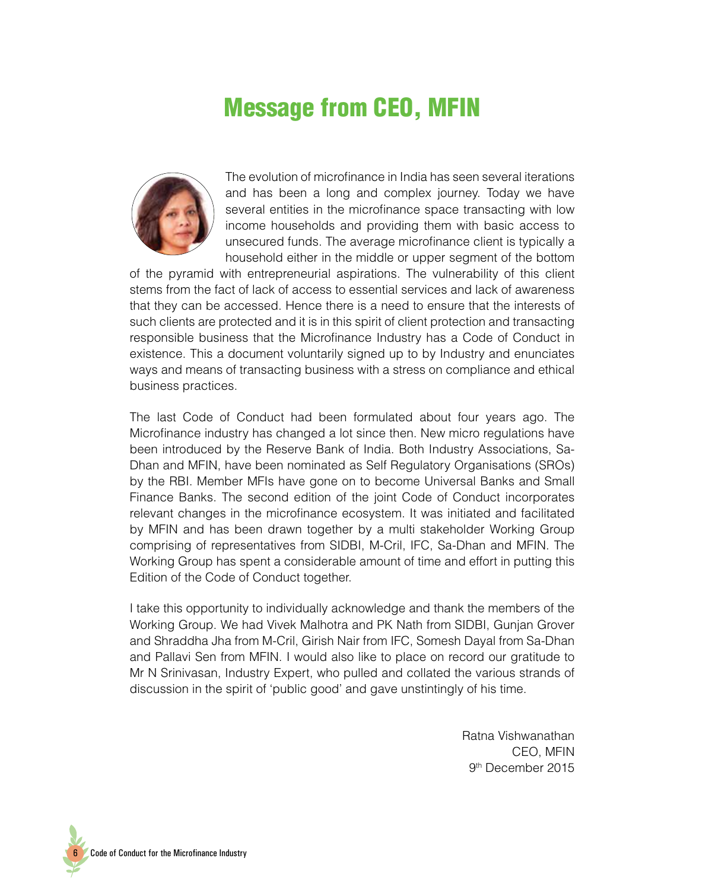### Message from CEO, MFIN



The evolution of microfinance in India has seen several iterations and has been a long and complex journey. Today we have several entities in the microfinance space transacting with low income households and providing them with basic access to unsecured funds. The average microfinance client is typically a household either in the middle or upper segment of the bottom

of the pyramid with entrepreneurial aspirations. The vulnerability of this client stems from the fact of lack of access to essential services and lack of awareness that they can be accessed. Hence there is a need to ensure that the interests of such clients are protected and it is in this spirit of client protection and transacting responsible business that the Microfinance Industry has a Code of Conduct in existence. This a document voluntarily signed up to by Industry and enunciates ways and means of transacting business with a stress on compliance and ethical business practices.

The last Code of Conduct had been formulated about four years ago. The Microfinance industry has changed a lot since then. New micro regulations have been introduced by the Reserve Bank of India. Both Industry Associations, Sa-Dhan and MFIN, have been nominated as Self Regulatory Organisations (SROs) by the RBI. Member MFIs have gone on to become Universal Banks and Small Finance Banks. The second edition of the joint Code of Conduct incorporates relevant changes in the microfinance ecosystem. It was initiated and facilitated by MFIN and has been drawn together by a multi stakeholder Working Group comprising of representatives from SIDBI, M-Cril, IFC, Sa-Dhan and MFIN. The Working Group has spent a considerable amount of time and effort in putting this Edition of the Code of Conduct together.

I take this opportunity to individually acknowledge and thank the members of the Working Group. We had Vivek Malhotra and PK Nath from SIDBI, Gunjan Grover and Shraddha Jha from M-Cril, Girish Nair from IFC, Somesh Dayal from Sa-Dhan and Pallavi Sen from MFIN. I would also like to place on record our gratitude to Mr N Srinivasan, Industry Expert, who pulled and collated the various strands of discussion in the spirit of 'public good' and gave unstintingly of his time.

> Ratna Vishwanathan CEO, MFIN 9th December 2015

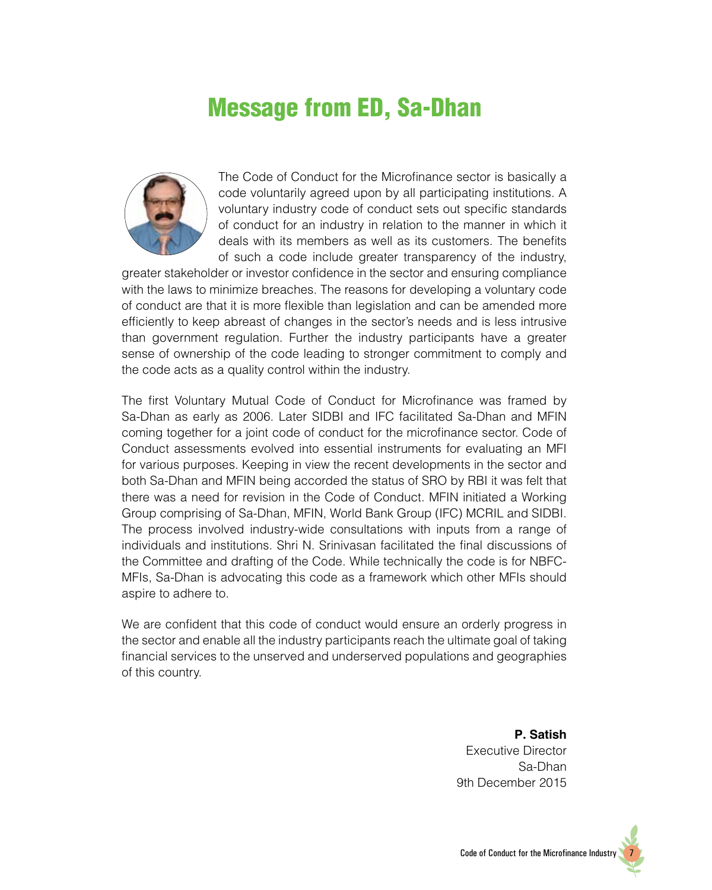### Message from ED, Sa-Dhan



The Code of Conduct for the Microfinance sector is basically a code voluntarily agreed upon by all participating institutions. A voluntary industry code of conduct sets out specific standards of conduct for an industry in relation to the manner in which it deals with its members as well as its customers. The benefits of such a code include greater transparency of the industry,

greater stakeholder or investor confidence in the sector and ensuring compliance with the laws to minimize breaches. The reasons for developing a voluntary code of conduct are that it is more flexible than legislation and can be amended more efficiently to keep abreast of changes in the sector's needs and is less intrusive than government regulation. Further the industry participants have a greater sense of ownership of the code leading to stronger commitment to comply and the code acts as a quality control within the industry.

The first Voluntary Mutual Code of Conduct for Microfinance was framed by Sa-Dhan as early as 2006. Later SIDBI and IFC facilitated Sa-Dhan and MFIN coming together for a joint code of conduct for the microfinance sector. Code of Conduct assessments evolved into essential instruments for evaluating an MFI for various purposes. Keeping in view the recent developments in the sector and both Sa-Dhan and MFIN being accorded the status of SRO by RBI it was felt that there was a need for revision in the Code of Conduct. MFIN initiated a Working Group comprising of Sa-Dhan, MFIN, World Bank Group (IFC) MCRIL and SIDBI. The process involved industry-wide consultations with inputs from a range of individuals and institutions. Shri N. Srinivasan facilitated the final discussions of the Committee and drafting of the Code. While technically the code is for NBFC-MFIs, Sa-Dhan is advocating this code as a framework which other MFIs should aspire to adhere to.

We are confident that this code of conduct would ensure an orderly progress in the sector and enable all the industry participants reach the ultimate goal of taking financial services to the unserved and underserved populations and geographies of this country.

> **P. Satish** Executive Director Sa-Dhan 9th December 2015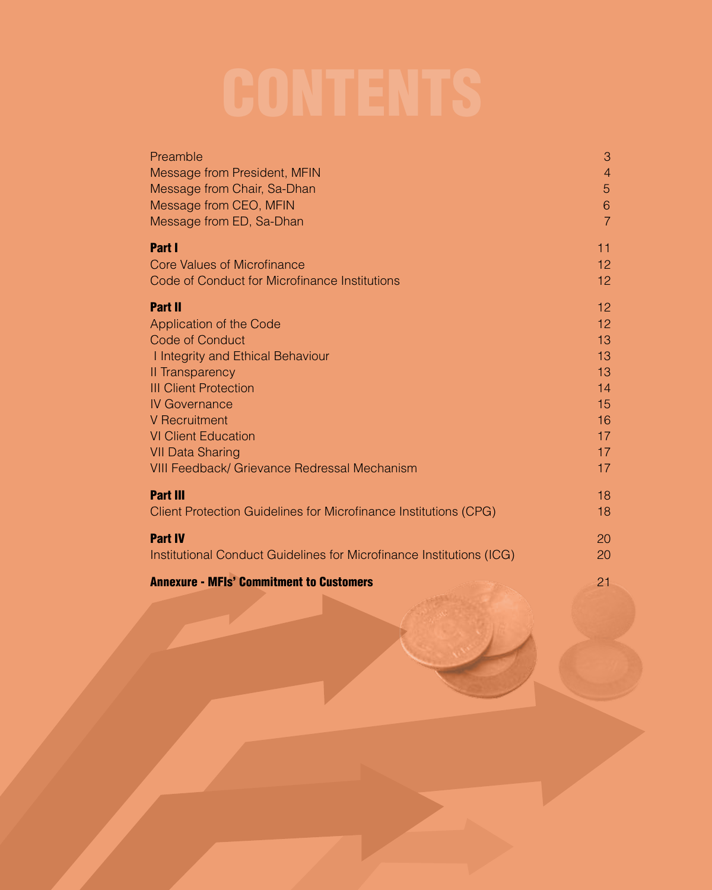| Preamble                                                             | 3              |
|----------------------------------------------------------------------|----------------|
| Message from President, MFIN                                         | $\overline{4}$ |
| Message from Chair, Sa-Dhan                                          | 5              |
| Message from CEO, MFIN                                               | 6              |
| Message from ED, Sa-Dhan                                             | $\overline{7}$ |
| Part I                                                               | 11             |
| Core Values of Microfinance                                          | 12             |
| Code of Conduct for Microfinance Institutions                        | 12             |
| <b>Part II</b>                                                       | 12             |
| Application of the Code                                              | 12             |
| <b>Code of Conduct</b>                                               | 13             |
| I Integrity and Ethical Behaviour                                    | 13             |
| Il Transparency                                                      | 13             |
| <b>III Client Protection</b>                                         | 14             |
| <b>IV Governance</b>                                                 | 15             |
| <b>V</b> Recruitment                                                 | 16             |
| <b>VI Client Education</b>                                           | 17             |
| <b>VII Data Sharing</b>                                              | 17             |
| <b>VIII Feedback/ Grievance Redressal Mechanism</b>                  | 17             |
| <b>Part III</b>                                                      | 18             |
| Client Protection Guidelines for Microfinance Institutions (CPG)     | 18             |
| <b>Part IV</b>                                                       | 20             |
| Institutional Conduct Guidelines for Microfinance Institutions (ICG) | 20             |

Annexure - MFIs' Commitment to Customers 21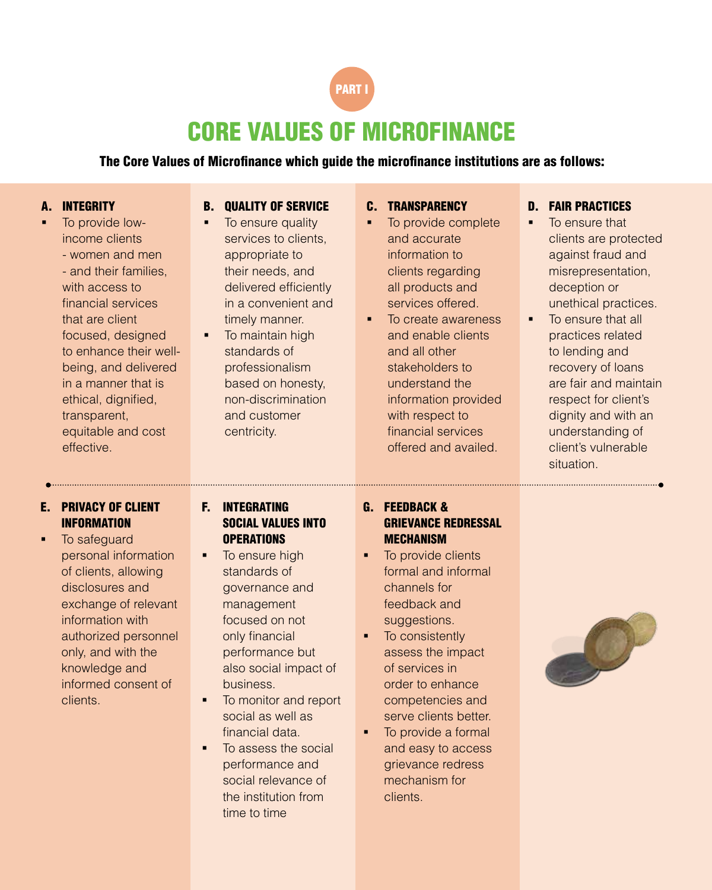

### CORE VALUES OF MICROFINANCE

#### The Core Values of Microfinance which guide the microfinance institutions are as follows:

C. TRANSPARENCY

#### A. INTEGRITY

 To provide lowincome clients - women and men - and their families, with access to financial services that are client focused, designed to enhance their wellbeing, and delivered in a manner that is ethical, dignified, transparent, equitable and cost effective. • To ensure quality services to clients, appropriate to their needs, and delivered efficiently in a convenient and timely manner. • To maintain high standards of professionalism based on honesty, non-discrimination and customer centricity. To provide complete and accurate information to clients regarding all products and services offered. To create awareness and enable clients and all other stakeholders to understand the information provided with respect to financial services offered and availed. E. PRIVACY OF CLIENT INFORMATION **To safeguard** personal information of clients, allowing disclosures and exchange of relevant information with authorized personnel only, and with the knowledge and informed consent of clients. F. INTEGRATING SOCIAL VALUES INTO **OPERATIONS**  To ensure high standards of governance and management focused on not only financial performance but also social impact of business. To monitor and report social as well as G. FEEDBACK & GRIEVANCE REDRESSAL MECHANISM • To provide clients formal and informal channels for feedback and suggestions. • To consistently assess the impact of services in order to enhance competencies and serve clients better.

> financial data. To assess the social performance and social relevance of the institution from time to time

B. QUALITY OF SERVICE

• To provide a formal and easy to access grievance redress mechanism for clients.



- D. FAIR PRACTICES
- To ensure that clients are protected against fraud and misrepresentation, deception or unethical practices.
- To ensure that all practices related to lending and recovery of loans are fair and maintain respect for client's dignity and with an understanding of client's vulnerable situation.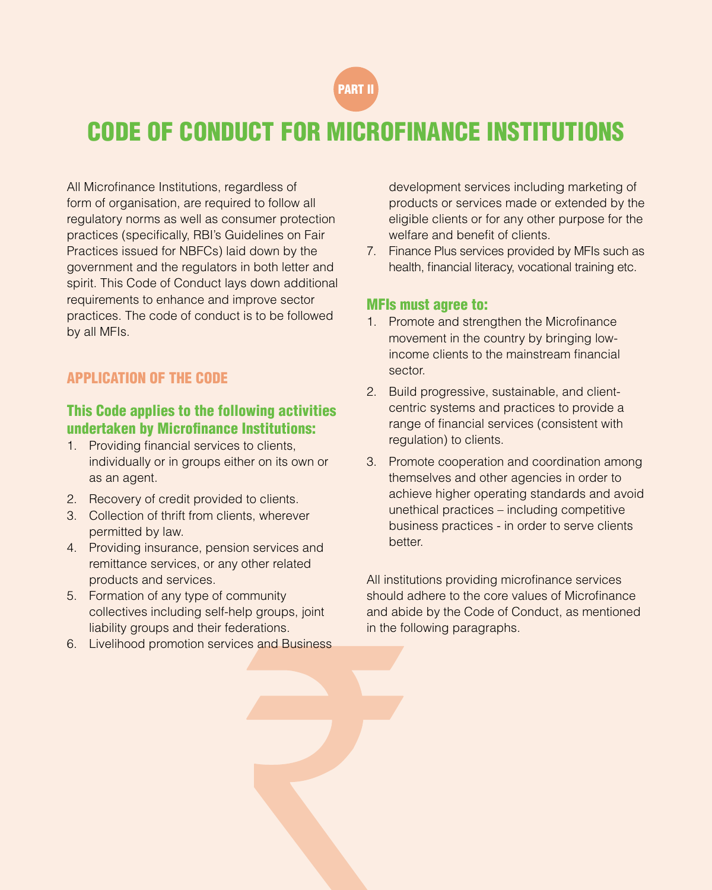

### CODE OF CONDUCT FOR MICROFINANCE INSTITUTIONS

All Microfinance Institutions, regardless of form of organisation, are required to follow all regulatory norms as well as consumer protection practices (specifically, RBI's Guidelines on Fair Practices issued for NBFCs) laid down by the government and the regulators in both letter and spirit. This Code of Conduct lays down additional requirements to enhance and improve sector practices. The code of conduct is to be followed by all MFIs.

#### APPLICATION OF THE CODE

#### This Code applies to the following activities undertaken by Microfinance Institutions:

- 1. Providing financial services to clients, individually or in groups either on its own or as an agent.
- 2. Recovery of credit provided to clients.
- 3. Collection of thrift from clients, wherever permitted by law.
- 4. Providing insurance, pension services and remittance services, or any other related products and services.
- 5. Formation of any type of community collectives including self-help groups, joint liability groups and their federations.
- 6. Livelihood promotion services and Business

development services including marketing of products or services made or extended by the eligible clients or for any other purpose for the welfare and benefit of clients.

7. Finance Plus services provided by MFIs such as health, financial literacy, vocational training etc.

#### MFIs must agree to:

- 1. Promote and strengthen the Microfinance movement in the country by bringing lowincome clients to the mainstream financial sector.
- 2. Build progressive, sustainable, and clientcentric systems and practices to provide a range of financial services (consistent with regulation) to clients.
- 3. Promote cooperation and coordination among themselves and other agencies in order to achieve higher operating standards and avoid unethical practices – including competitive business practices - in order to serve clients better.

All institutions providing microfinance services should adhere to the core values of Microfinance and abide by the Code of Conduct, as mentioned in the following paragraphs.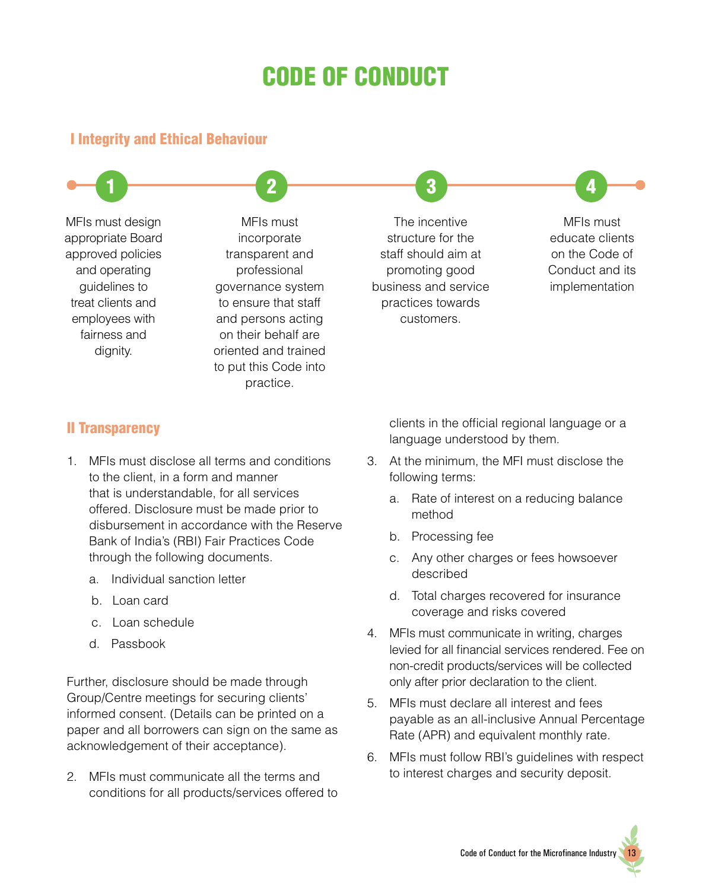## CODE OF CONDUCT

 $\begin{array}{|c|c|c|c|c|}\hline \text{1} & \text{2} & \text{3} & \text{4} \ \hline \end{array}$ 

#### I Integrity and Ethical Behaviour

MFIs must design appropriate Board approved policies and operating guidelines to treat clients and employees with fairness and dignity.

MFIs must incorporate transparent and professional governance system to ensure that staff and persons acting on their behalf are oriented and trained to put this Code into practice.

The incentive structure for the staff should aim at promoting good business and service practices towards customers.

MFIs must educate clients on the Code of Conduct and its implementation

#### II Transparency

- 1. MFIs must disclose all terms and conditions to the client, in a form and manner that is understandable, for all services offered. Disclosure must be made prior to disbursement in accordance with the Reserve Bank of India's (RBI) Fair Practices Code through the following documents.
	- a. Individual sanction letter
	- b. Loan card
	- c. Loan schedule
	- d. Passbook

Further, disclosure should be made through Group/Centre meetings for securing clients' informed consent. (Details can be printed on a paper and all borrowers can sign on the same as acknowledgement of their acceptance).

2. MFIs must communicate all the terms and conditions for all products/services offered to clients in the official regional language or a language understood by them.

- 3. At the minimum, the MFI must disclose the following terms:
	- a. Rate of interest on a reducing balance method
	- b. Processing fee
	- c. Any other charges or fees howsoever described
	- d. Total charges recovered for insurance coverage and risks covered
- 4. MFIs must communicate in writing, charges levied for all financial services rendered. Fee on non-credit products/services will be collected only after prior declaration to the client.
- 5. MFIs must declare all interest and fees payable as an all-inclusive Annual Percentage Rate (APR) and equivalent monthly rate.
- 6. MFIs must follow RBI's guidelines with respect to interest charges and security deposit.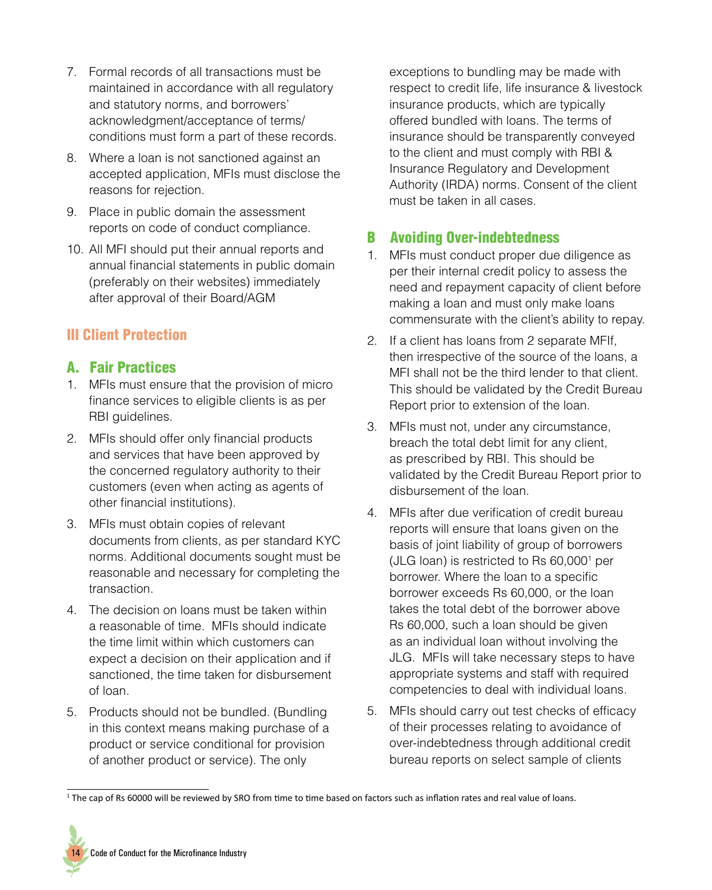- 7. Formal records of all transactions must be maintained in accordance with all regulatory and statutory norms, and borrowers' acknowledgment/acceptance of terms/ conditions must form a part of these records.
- 8. Where a loan is not sanctioned against an accepted application, MFIs must disclose the reasons for rejection.
- 9. Place in public domain the assessment reports on code of conduct compliance.
- 10. All MFI should put their annual reports and annual financial statements in public domain (preferably on their websites) immediately after approval of their Board/AGM

#### III Client Protection

#### A. Fair Practices

- 1. MFIs must ensure that the provision of micro finance services to eligible clients is as per RBI guidelines.
- 2. MFIs should offer only financial products and services that have been approved by the concerned regulatory authority to their customers (even when acting as agents of other financial institutions).
- 3. MFIs must obtain copies of relevant documents from clients, as per standard KYC norms. Additional documents sought must be reasonable and necessary for completing the transaction.
- 4. The decision on loans must be taken within a reasonable of time. MFIs should indicate the time limit within which customers can expect a decision on their application and if sanctioned, the time taken for disbursement of loan.
- 5. Products should not be bundled. (Bundling in this context means making purchase of a product or service conditional for provision of another product or service). The only

exceptions to bundling may be made with respect to credit life, life insurance & livestock insurance products, which are typically offered bundled with loans. The terms of insurance should be transparently conveyed to the client and must comply with RBI & Insurance Regulatory and Development Authority (IRDA) norms. Consent of the client must be taken in all cases.

#### B Avoiding Over-indebtedness

- 1. MFIs must conduct proper due diligence as per their internal credit policy to assess the need and repayment capacity of client before making a loan and must only make loans commensurate with the client's ability to repay.
- 2. If a client has loans from 2 separate MFIf, then irrespective of the source of the loans, a MFI shall not be the third lender to that client. This should be validated by the Credit Bureau Report prior to extension of the loan.
- 3. MFIs must not, under any circumstance, breach the total debt limit for any client, as prescribed by RBI. This should be validated by the Credit Bureau Report prior to disbursement of the loan.
- 4. MFIs after due verification of credit bureau reports will ensure that loans given on the basis of joint liability of group of borrowers (JLG loan) is restricted to Rs 60,0001 per borrower. Where the loan to a specific borrower exceeds Rs 60,000, or the loan takes the total debt of the borrower above Rs 60,000, such a loan should be given as an individual loan without involving the JLG. MFIs will take necessary steps to have appropriate systems and staff with required competencies to deal with individual loans.
- 5. MFIs should carry out test checks of efficacy of their processes relating to avoidance of over-indebtedness through additional credit bureau reports on select sample of clients

<sup>&</sup>lt;sup>1</sup> The cap of Rs 60000 will be reviewed by SRO from time to time based on factors such as inflation rates and real value of loans.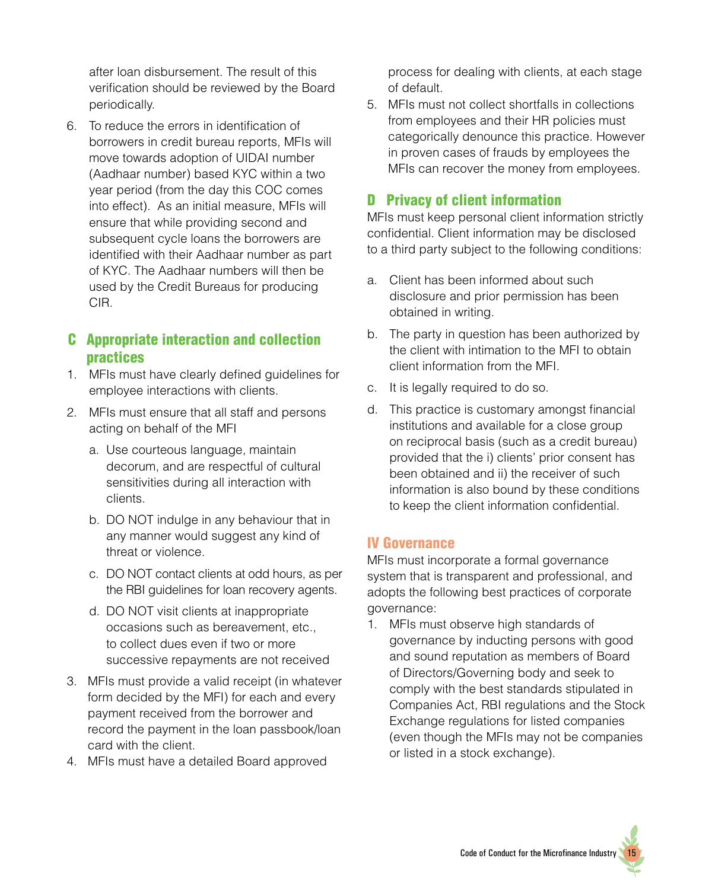after loan disbursement. The result of this verification should be reviewed by the Board periodically.

6. To reduce the errors in identification of borrowers in credit bureau reports, MFIs will move towards adoption of UIDAI number (Aadhaar number) based KYC within a two year period (from the day this COC comes into effect). As an initial measure, MFIs will ensure that while providing second and subsequent cycle loans the borrowers are identified with their Aadhaar number as part of KYC. The Aadhaar numbers will then be used by the Credit Bureaus for producing CIR.

#### C Appropriate interaction and collection practices

- 1. MFIs must have clearly defined guidelines for employee interactions with clients.
- 2. MFIs must ensure that all staff and persons acting on behalf of the MFI
	- a. Use courteous language, maintain decorum, and are respectful of cultural sensitivities during all interaction with clients.
	- b. DO NOT indulge in any behaviour that in any manner would suggest any kind of threat or violence.
	- c. DO NOT contact clients at odd hours, as per the RBI guidelines for loan recovery agents.
	- d. DO NOT visit clients at inappropriate occasions such as bereavement, etc., to collect dues even if two or more successive repayments are not received
- 3. MFIs must provide a valid receipt (in whatever form decided by the MFI) for each and every payment received from the borrower and record the payment in the loan passbook/loan card with the client.
- 4. MFIs must have a detailed Board approved

process for dealing with clients, at each stage of default.

5. MFIs must not collect shortfalls in collections from employees and their HR policies must categorically denounce this practice. However in proven cases of frauds by employees the MFIs can recover the money from employees.

#### D Privacy of client information

MFIs must keep personal client information strictly confidential. Client information may be disclosed to a third party subject to the following conditions:

- a. Client has been informed about such disclosure and prior permission has been obtained in writing.
- b. The party in question has been authorized by the client with intimation to the MFI to obtain client information from the MFI.
- c. It is legally required to do so.
- d. This practice is customary amongst financial institutions and available for a close group on reciprocal basis (such as a credit bureau) provided that the i) clients' prior consent has been obtained and ii) the receiver of such information is also bound by these conditions to keep the client information confidential.

#### IV Governance

MFIs must incorporate a formal governance system that is transparent and professional, and adopts the following best practices of corporate governance:

1. MFIs must observe high standards of governance by inducting persons with good and sound reputation as members of Board of Directors/Governing body and seek to comply with the best standards stipulated in Companies Act, RBI regulations and the Stock Exchange regulations for listed companies (even though the MFIs may not be companies or listed in a stock exchange).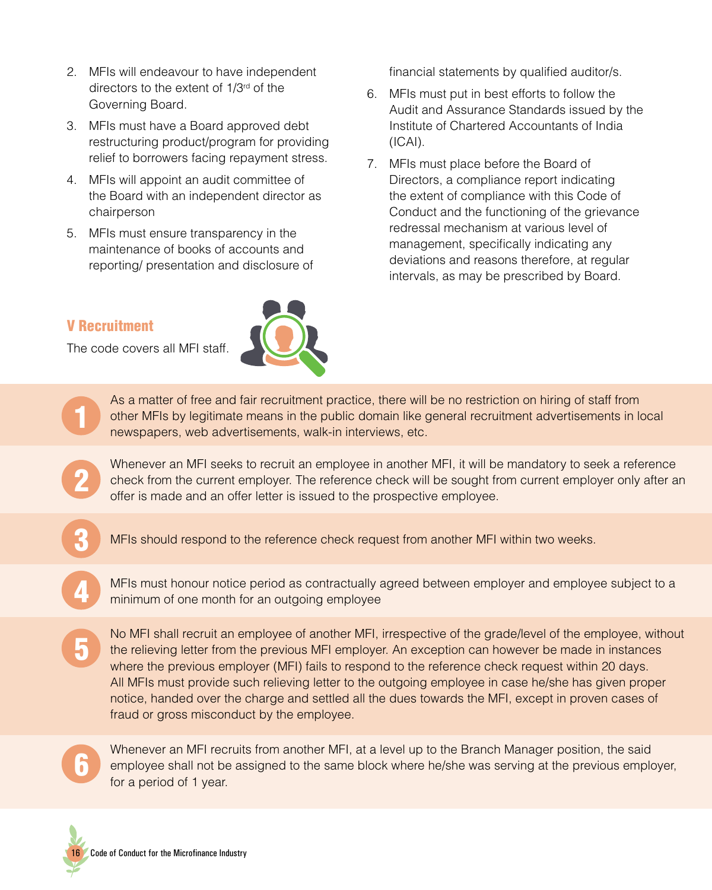- 2. MFIs will endeavour to have independent directors to the extent of 1/3<sup>rd</sup> of the Governing Board.
- 3. MFIs must have a Board approved debt restructuring product/program for providing relief to borrowers facing repayment stress.
- 4. MFIs will appoint an audit committee of the Board with an independent director as chairperson
- 5. MFIs must ensure transparency in the maintenance of books of accounts and reporting/ presentation and disclosure of

#### V Recruitment

1

2

3

4

5

The code covers all MFI staff.



financial statements by qualified auditor/s.

- 6. MFIs must put in best efforts to follow the Audit and Assurance Standards issued by the Institute of Chartered Accountants of India (ICAI).
- 7. MFIs must place before the Board of Directors, a compliance report indicating the extent of compliance with this Code of Conduct and the functioning of the grievance redressal mechanism at various level of management, specifically indicating any deviations and reasons therefore, at regular intervals, as may be prescribed by Board.

As a matter of free and fair recruitment practice, there will be no restriction on hiring of staff from other MFIs by legitimate means in the public domain like general recruitment advertisements in local newspapers, web advertisements, walk-in interviews, etc.

Whenever an MFI seeks to recruit an employee in another MFI, it will be mandatory to seek a reference check from the current employer. The reference check will be sought from current employer only after an offer is made and an offer letter is issued to the prospective employee.

MFIs should respond to the reference check request from another MFI within two weeks.

MFIs must honour notice period as contractually agreed between employer and employee subject to a minimum of one month for an outgoing employee

No MFI shall recruit an employee of another MFI, irrespective of the grade/level of the employee, without the relieving letter from the previous MFI employer. An exception can however be made in instances where the previous employer (MFI) fails to respond to the reference check request within 20 days. All MFIs must provide such relieving letter to the outgoing employee in case he/she has given proper notice, handed over the charge and settled all the dues towards the MFI, except in proven cases of fraud or gross misconduct by the employee.



Whenever an MFI recruits from another MFI, at a level up to the Branch Manager position, the said employee shall not be assigned to the same block where he/she was serving at the previous employer, for a period of 1 year.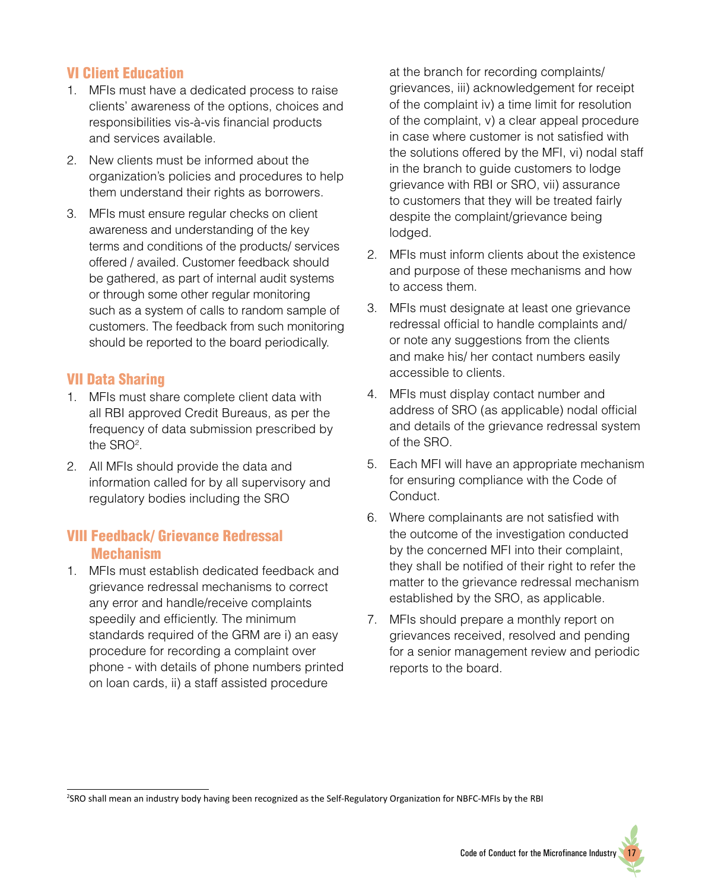#### VI Client Education

- 1. MFIs must have a dedicated process to raise clients' awareness of the options, choices and responsibilities vis-à-vis financial products and services available.
- 2. New clients must be informed about the organization's policies and procedures to help them understand their rights as borrowers.
- 3. MFIs must ensure regular checks on client awareness and understanding of the key terms and conditions of the products/ services offered / availed. Customer feedback should be gathered, as part of internal audit systems or through some other regular monitoring such as a system of calls to random sample of customers. The feedback from such monitoring should be reported to the board periodically.

#### VII Data Sharing

- 1. MFIs must share complete client data with all RBI approved Credit Bureaus, as per the frequency of data submission prescribed by the SRO<sup>2</sup>.
- 2. All MFIs should provide the data and information called for by all supervisory and regulatory bodies including the SRO

#### VIII Feedback/ Grievance Redressal Mechanism

1. MFIs must establish dedicated feedback and grievance redressal mechanisms to correct any error and handle/receive complaints speedily and efficiently. The minimum standards required of the GRM are i) an easy procedure for recording a complaint over phone - with details of phone numbers printed on loan cards, ii) a staff assisted procedure

at the branch for recording complaints/ grievances, iii) acknowledgement for receipt of the complaint iv) a time limit for resolution of the complaint, v) a clear appeal procedure in case where customer is not satisfied with the solutions offered by the MFI, vi) nodal staff in the branch to guide customers to lodge grievance with RBI or SRO, vii) assurance to customers that they will be treated fairly despite the complaint/grievance being lodged.

- 2. MFIs must inform clients about the existence and purpose of these mechanisms and how to access them.
- 3. MFIs must designate at least one grievance redressal official to handle complaints and/ or note any suggestions from the clients and make his/ her contact numbers easily accessible to clients.
- 4. MFIs must display contact number and address of SRO (as applicable) nodal official and details of the grievance redressal system of the SRO.
- 5. Each MFI will have an appropriate mechanism for ensuring compliance with the Code of Conduct.
- 6. Where complainants are not satisfied with the outcome of the investigation conducted by the concerned MFI into their complaint, they shall be notified of their right to refer the matter to the grievance redressal mechanism established by the SRO, as applicable.
- 7. MFIs should prepare a monthly report on grievances received, resolved and pending for a senior management review and periodic reports to the board.

<sup>2</sup> SRO shall mean an industry body having been recognized as the Self-Regulatory Organization for NBFC-MFIs by the RBI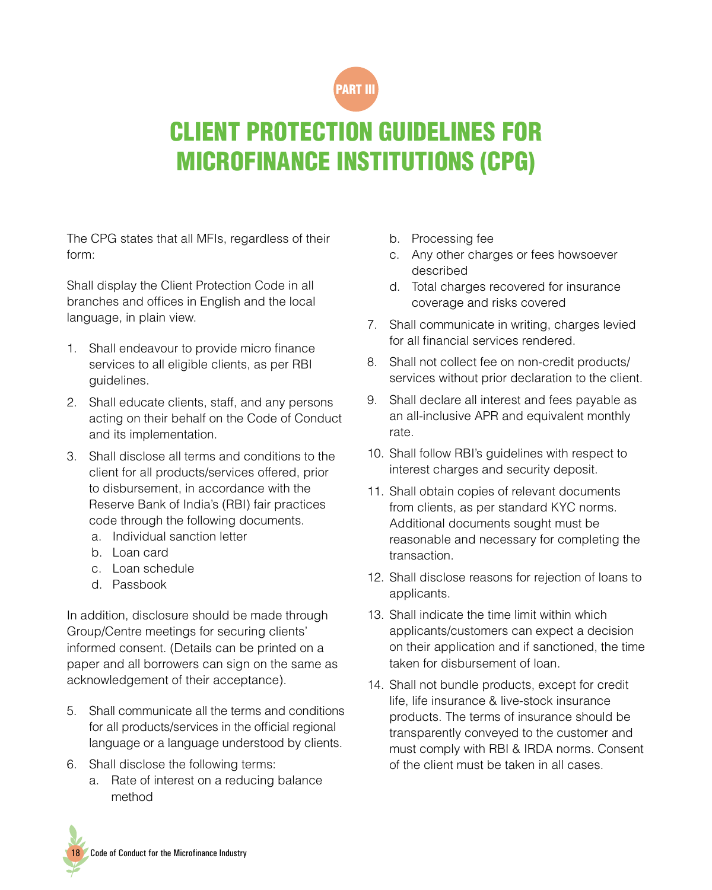

### CLIENT PROTECTION GUIDELINES FOR MICROFINANCE INSTITUTIONS (CPG)

The CPG states that all MFIs, regardless of their form:

Shall display the Client Protection Code in all branches and offices in English and the local language, in plain view.

- 1. Shall endeavour to provide micro finance services to all eligible clients, as per RBI guidelines.
- 2. Shall educate clients, staff, and any persons acting on their behalf on the Code of Conduct and its implementation.
- 3. Shall disclose all terms and conditions to the client for all products/services offered, prior to disbursement, in accordance with the Reserve Bank of India's (RBI) fair practices code through the following documents.
	- a. Individual sanction letter
	- b. Loan card
	- c. Loan schedule
	- d. Passbook

In addition, disclosure should be made through Group/Centre meetings for securing clients' informed consent. (Details can be printed on a paper and all borrowers can sign on the same as acknowledgement of their acceptance).

- 5. Shall communicate all the terms and conditions for all products/services in the official regional language or a language understood by clients.
- 6. Shall disclose the following terms:
	- a. Rate of interest on a reducing balance method
- b. Processing fee
- c. Any other charges or fees howsoever described
- d. Total charges recovered for insurance coverage and risks covered
- 7. Shall communicate in writing, charges levied for all financial services rendered.
- 8. Shall not collect fee on non-credit products/ services without prior declaration to the client.
- 9. Shall declare all interest and fees payable as an all-inclusive APR and equivalent monthly rate.
- 10. Shall follow RBI's guidelines with respect to interest charges and security deposit.
- 11. Shall obtain copies of relevant documents from clients, as per standard KYC norms. Additional documents sought must be reasonable and necessary for completing the transaction.
- 12. Shall disclose reasons for rejection of loans to applicants.
- 13. Shall indicate the time limit within which applicants/customers can expect a decision on their application and if sanctioned, the time taken for disbursement of loan.
- 14. Shall not bundle products, except for credit life, life insurance & live-stock insurance products. The terms of insurance should be transparently conveyed to the customer and must comply with RBI & IRDA norms. Consent of the client must be taken in all cases.

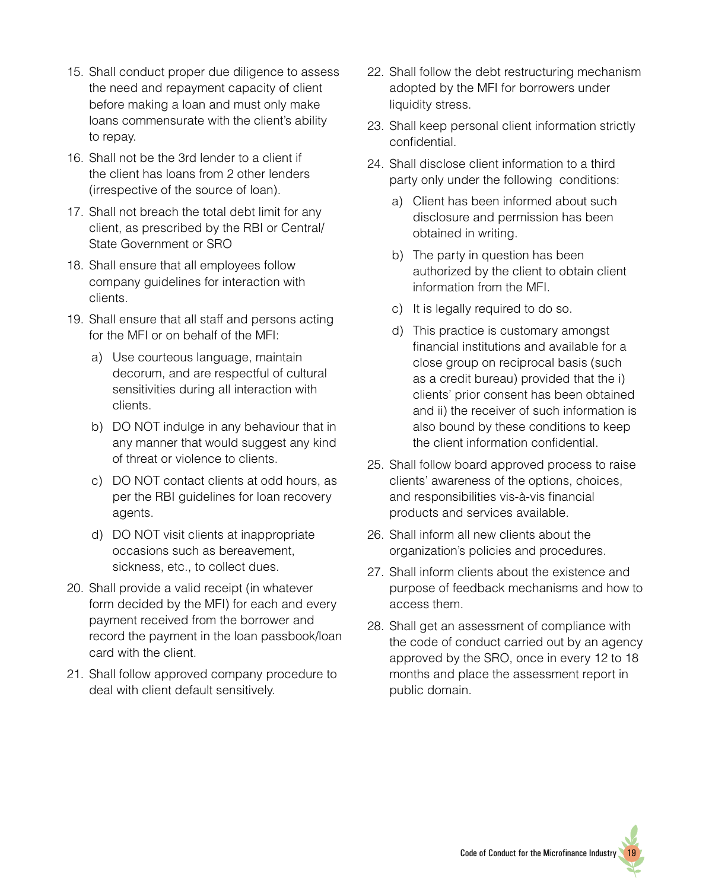- 15. Shall conduct proper due diligence to assess the need and repayment capacity of client before making a loan and must only make loans commensurate with the client's ability to repay.
- 16. Shall not be the 3rd lender to a client if the client has loans from 2 other lenders (irrespective of the source of loan).
- 17. Shall not breach the total debt limit for any client, as prescribed by the RBI or Central/ State Government or SRO
- 18. Shall ensure that all employees follow company guidelines for interaction with clients.
- 19. Shall ensure that all staff and persons acting for the MFI or on behalf of the MFI:
	- a) Use courteous language, maintain decorum, and are respectful of cultural sensitivities during all interaction with clients.
	- b) DO NOT indulge in any behaviour that in any manner that would suggest any kind of threat or violence to clients.
	- c) DO NOT contact clients at odd hours, as per the RBI guidelines for loan recovery agents.
	- d) DO NOT visit clients at inappropriate occasions such as bereavement, sickness, etc., to collect dues.
- 20. Shall provide a valid receipt (in whatever form decided by the MFI) for each and every payment received from the borrower and record the payment in the loan passbook/loan card with the client.
- 21. Shall follow approved company procedure to deal with client default sensitively.
- 22. Shall follow the debt restructuring mechanism adopted by the MFI for borrowers under liquidity stress.
- 23. Shall keep personal client information strictly confidential.
- 24. Shall disclose client information to a third party only under the following conditions:
	- a) Client has been informed about such disclosure and permission has been obtained in writing.
	- b) The party in question has been authorized by the client to obtain client information from the MFI.
	- c) It is legally required to do so.
	- d) This practice is customary amongst financial institutions and available for a close group on reciprocal basis (such as a credit bureau) provided that the i) clients' prior consent has been obtained and ii) the receiver of such information is also bound by these conditions to keep the client information confidential.
- 25. Shall follow board approved process to raise clients' awareness of the options, choices, and responsibilities vis-à-vis financial products and services available.
- 26. Shall inform all new clients about the organization's policies and procedures.
- 27. Shall inform clients about the existence and purpose of feedback mechanisms and how to access them.
- 28. Shall get an assessment of compliance with the code of conduct carried out by an agency approved by the SRO, once in every 12 to 18 months and place the assessment report in public domain.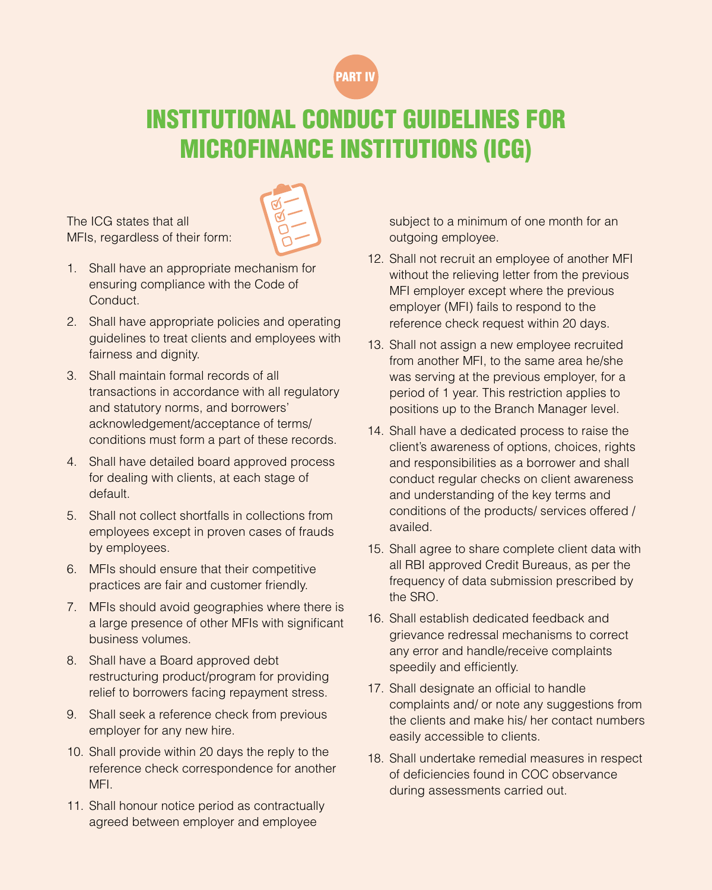

### INSTITUTIONAL CONDUCT GUIDELINES FOR MICROFINANCE INSTITUTIONS (ICG)

The ICG states that all MFIs, regardless of their form:



- 1. Shall have an appropriate mechanism for ensuring compliance with the Code of Conduct.
- 2. Shall have appropriate policies and operating guidelines to treat clients and employees with fairness and dignity.
- 3. Shall maintain formal records of all transactions in accordance with all regulatory and statutory norms, and borrowers' acknowledgement/acceptance of terms/ conditions must form a part of these records.
- 4. Shall have detailed board approved process for dealing with clients, at each stage of default.
- 5. Shall not collect shortfalls in collections from employees except in proven cases of frauds by employees.
- 6. MFIs should ensure that their competitive practices are fair and customer friendly.
- 7. MFIs should avoid geographies where there is a large presence of other MFIs with significant business volumes.
- 8. Shall have a Board approved debt restructuring product/program for providing relief to borrowers facing repayment stress.
- 9. Shall seek a reference check from previous employer for any new hire.
- 10. Shall provide within 20 days the reply to the reference check correspondence for another MFI.
- 11. Shall honour notice period as contractually agreed between employer and employee

subject to a minimum of one month for an outgoing employee.

- 12. Shall not recruit an employee of another MFI without the relieving letter from the previous MFI employer except where the previous employer (MFI) fails to respond to the reference check request within 20 days.
- 13. Shall not assign a new employee recruited from another MFI, to the same area he/she was serving at the previous employer, for a period of 1 year. This restriction applies to positions up to the Branch Manager level.
- 14. Shall have a dedicated process to raise the client's awareness of options, choices, rights and responsibilities as a borrower and shall conduct regular checks on client awareness and understanding of the key terms and conditions of the products/ services offered / availed.
- 15. Shall agree to share complete client data with all RBI approved Credit Bureaus, as per the frequency of data submission prescribed by the SRO.
- 16. Shall establish dedicated feedback and grievance redressal mechanisms to correct any error and handle/receive complaints speedily and efficiently.
- 17. Shall designate an official to handle complaints and/ or note any suggestions from the clients and make his/ her contact numbers easily accessible to clients.
- 18. Shall undertake remedial measures in respect of deficiencies found in COC observance during assessments carried out.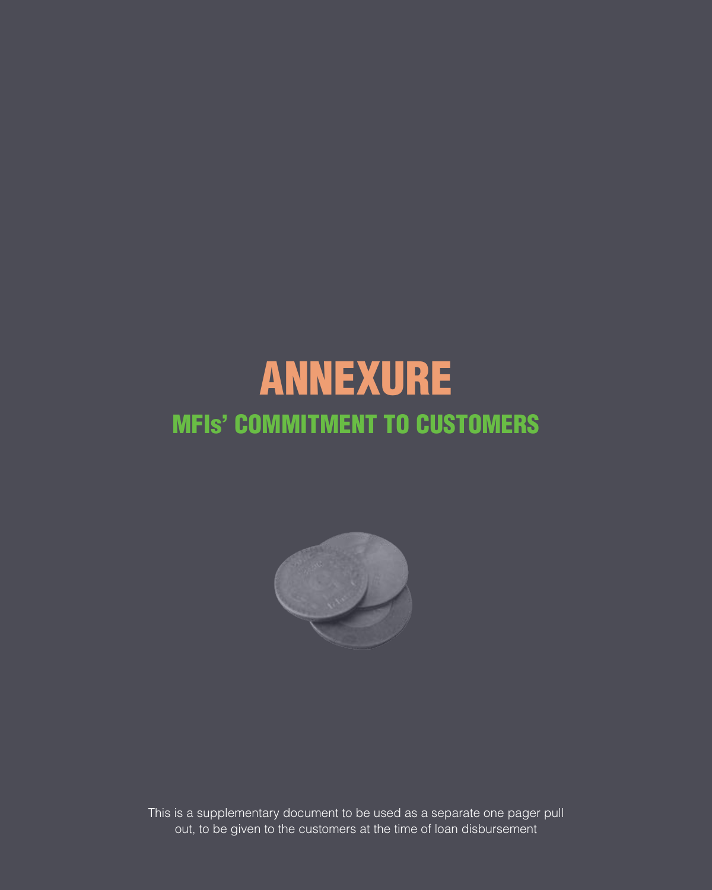# ANNEXURE MFIs' COMMITMENT TO CUSTOMERS



This is a supplementary document to be used as a separate one pager pull out, to be given to the customers at the time of loan disbursement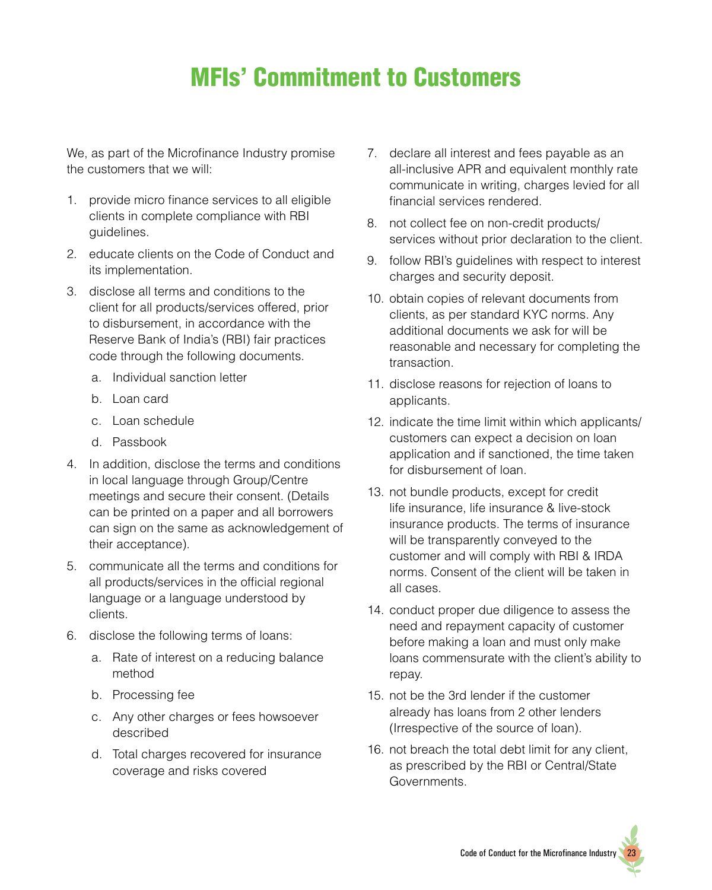### MFIs' Commitment to Customers

We, as part of the Microfinance Industry promise the customers that we will:

- 1. provide micro finance services to all eligible clients in complete compliance with RBI guidelines.
- 2. educate clients on the Code of Conduct and its implementation.
- 3. disclose all terms and conditions to the client for all products/services offered, prior to disbursement, in accordance with the Reserve Bank of India's (RBI) fair practices code through the following documents.
	- a. Individual sanction letter
	- b. Loan card
	- c. Loan schedule
	- d. Passbook
- 4. In addition, disclose the terms and conditions in local language through Group/Centre meetings and secure their consent. (Details can be printed on a paper and all borrowers can sign on the same as acknowledgement of their acceptance).
- 5. communicate all the terms and conditions for all products/services in the official regional language or a language understood by clients.
- 6. disclose the following terms of loans:
	- a. Rate of interest on a reducing balance method
	- b. Processing fee
	- c. Any other charges or fees howsoever described
	- d. Total charges recovered for insurance coverage and risks covered
- 7. declare all interest and fees payable as an all-inclusive APR and equivalent monthly rate communicate in writing, charges levied for all financial services rendered.
- 8. not collect fee on non-credit products/ services without prior declaration to the client.
- 9. follow RBI's guidelines with respect to interest charges and security deposit.
- 10. obtain copies of relevant documents from clients, as per standard KYC norms. Any additional documents we ask for will be reasonable and necessary for completing the transaction.
- 11. disclose reasons for rejection of loans to applicants.
- 12. indicate the time limit within which applicants/ customers can expect a decision on loan application and if sanctioned, the time taken for disbursement of loan.
- 13. not bundle products, except for credit life insurance, life insurance & live-stock insurance products. The terms of insurance will be transparently conveyed to the customer and will comply with RBI & IRDA norms. Consent of the client will be taken in all cases.
- 14. conduct proper due diligence to assess the need and repayment capacity of customer before making a loan and must only make loans commensurate with the client's ability to repay.
- 15. not be the 3rd lender if the customer already has loans from 2 other lenders (Irrespective of the source of loan).
- 16. not breach the total debt limit for any client, as prescribed by the RBI or Central/State Governments.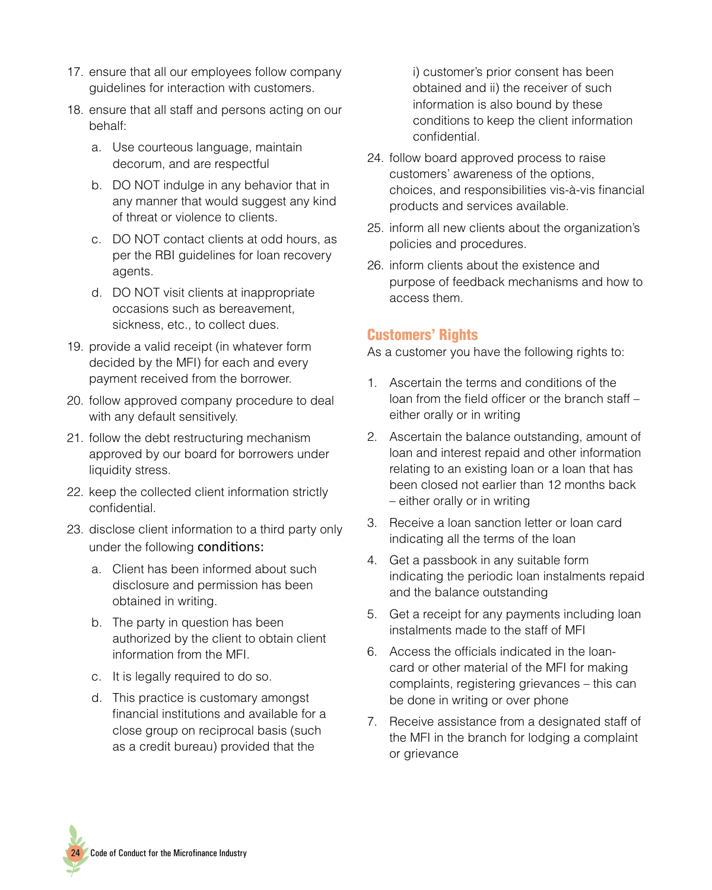- 17. ensure that all our employees follow company guidelines for interaction with customers.
- 18. ensure that all staff and persons acting on our behalf:
	- a. Use courteous language, maintain decorum, and are respectful
	- b. DO NOT indulge in any behavior that in any manner that would suggest any kind of threat or violence to clients.
	- c. DO NOT contact clients at odd hours, as per the RBI guidelines for loan recovery agents.
	- d. DO NOT visit clients at inappropriate occasions such as bereavement, sickness, etc., to collect dues.
- 19. provide a valid receipt (in whatever form decided by the MFI) for each and every payment received from the borrower.
- 20. follow approved company procedure to deal with any default sensitively.
- 21. follow the debt restructuring mechanism approved by our board for borrowers under liquidity stress.
- 22. keep the collected client information strictly confidential.
- 23. disclose client information to a third party only under the following conditions:
	- a. Client has been informed about such disclosure and permission has been obtained in writing.
	- b. The party in question has been authorized by the client to obtain client information from the MFI.
	- c. It is legally required to do so.
	- d. This practice is customary amongst financial institutions and available for a close group on reciprocal basis (such as a credit bureau) provided that the

i) customer's prior consent has been obtained and ii) the receiver of such information is also bound by these conditions to keep the client information confidential.

- 24. follow board approved process to raise customers' awareness of the options, choices, and responsibilities vis-à-vis financial products and services available.
- 25. inform all new clients about the organization's policies and procedures.
- 26. inform clients about the existence and purpose of feedback mechanisms and how to access them.

#### Customers' Rights

As a customer you have the following rights to:

- 1. Ascertain the terms and conditions of the loan from the field officer or the branch staff – either orally or in writing
- 2. Ascertain the balance outstanding, amount of loan and interest repaid and other information relating to an existing loan or a loan that has been closed not earlier than 12 months back – either orally or in writing
- 3. Receive a loan sanction letter or loan card indicating all the terms of the loan
- 4. Get a passbook in any suitable form indicating the periodic loan instalments repaid and the balance outstanding
- 5. Get a receipt for any payments including loan instalments made to the staff of MFI
- 6. Access the officials indicated in the loancard or other material of the MFI for making complaints, registering grievances – this can be done in writing or over phone
- 7. Receive assistance from a designated staff of the MFI in the branch for lodging a complaint or grievance

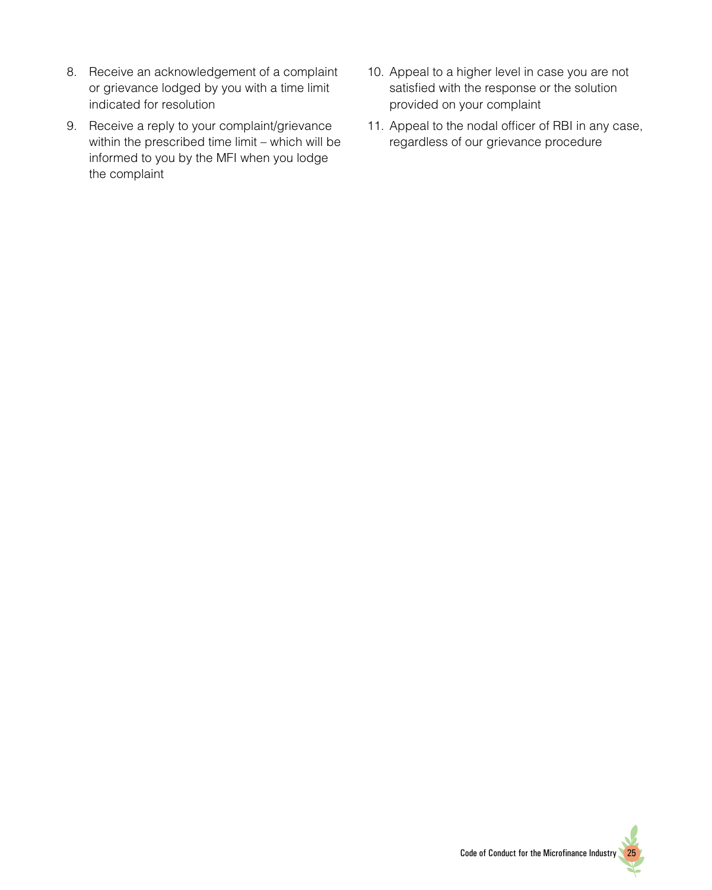- 8. Receive an acknowledgement of a complaint or grievance lodged by you with a time limit indicated for resolution
- 9. Receive a reply to your complaint/grievance within the prescribed time limit – which will be informed to you by the MFI when you lodge the complaint
- 10. Appeal to a higher level in case you are not satisfied with the response or the solution provided on your complaint
- 11. Appeal to the nodal officer of RBI in any case, regardless of our grievance procedure